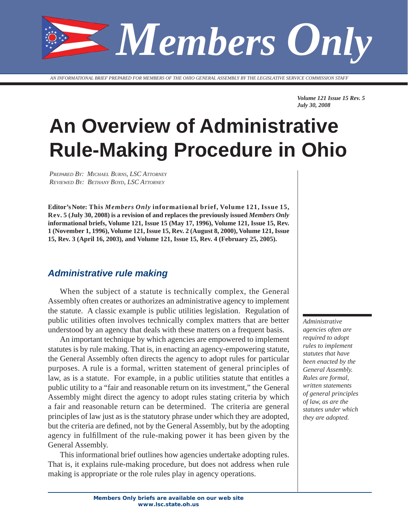*Members Only*

*AN INFORMATIONAL BRIEF PREPARED FOR MEMBERS OF THE OHIO GENERAL ASSEMBLY BY THE LEGISLATIVE SERVICE COMMISSION STAFF*

*Volume 121 Issue 15 Rev. 5 July 30, 2008*

# **An Overview of Administrative Rule-Making Procedure in Ohio**

*PREPARED BY: MICHAEL BURNS, LSC ATTORNEY REVIEWED BY: BETHANY BOYD, LSC ATTORNEY*

**Editor's Note: This** *Members Only* **informational brief, Volume 121, Issue 15, Rev. 5 (July 30, 2008) is a revision of and replaces the previously issued** *Members Only*  **informational briefs, Volume 121, Issue 15 (May 17, 1996), Volume 121, Issue 15, Rev. 1 (November 1, 1996), Volume 121, Issue 15, Rev. 2 (August 8, 2000), Volume 121, Issue 15, Rev. 3 (April 16, 2003), and Volume 121, Issue 15, Rev. 4 (February 25, 2005).** 

### *Administrative rule making*

When the subject of a statute is technically complex, the General Assembly often creates or authorizes an administrative agency to implement the statute. A classic example is public utilities legislation. Regulation of public utilities often involves technically complex matters that are better understood by an agency that deals with these matters on a frequent basis.

An important technique by which agencies are empowered to implement statutes is by rule making. That is, in enacting an agency-empowering statute, the General Assembly often directs the agency to adopt rules for particular purposes. A rule is a formal, written statement of general principles of law, as is a statute. For example, in a public utilities statute that entitles a public utility to a "fair and reasonable return on its investment," the General Assembly might direct the agency to adopt rules stating criteria by which a fair and reasonable return can be determined. The criteria are general principles of law just as is the statutory phrase under which they are adopted, but the criteria are defined, not by the General Assembly, but by the adopting agency in fulfillment of the rule-making power it has been given by the General Assembly.

This informational brief outlines how agencies undertake adopting rules. That is, it explains rule-making procedure, but does not address when rule making is appropriate or the role rules play in agency operations.

*Administrative agencies often are required to adopt rules to implement statutes that have been enacted by the General Assembly. Rules are formal, written statements of general principles of law, as are the statutes under which they are adopted.*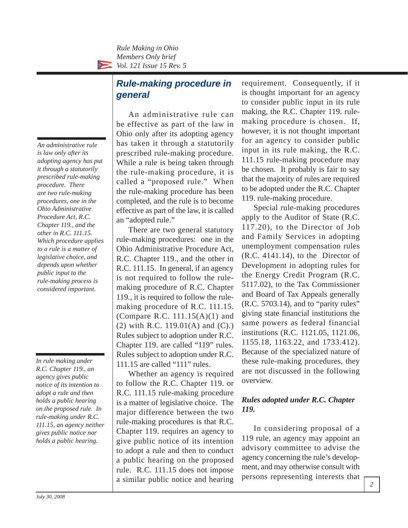# *Rule-making procedure in general*

*An administrative rule is law only after its adopting agency has put it through a statutorily prescribed rule-making procedure. There are two rule-making procedures, one in the Ohio Administrative Procedure Act, R.C. Chapter 119., and the other in R.C. 111.15. Which procedure applies to a rule is a matter of legislative choice, and depends upon whether public input to the rule-making process is considered important.*

*In rule making under R.C. Chapter 119., an agency gives public notice of its intention to adopt a rule and then holds a public hearing on the proposed rule. In rule-making under R.C. 111.15, an agency neither gives public notice nor holds a public hearing.*

An administrative rule can be effective as part of the law in Ohio only after its adopting agency has taken it through a statutorily prescribed rule-making procedure. While a rule is being taken through the rule-making procedure, it is called a "proposed rule." When the rule-making procedure has been completed, and the rule is to become effective as part of the law, it is called an "adopted rule."

There are two general statutory rule-making procedures: one in the Ohio Administrative Procedure Act, R.C. Chapter 119., and the other in R.C. 111.15. In general, if an agency is not required to follow the rulemaking procedure of R.C. Chapter 119., it is required to follow the rulemaking procedure of R.C. 111.15. (Compare R.C.  $111.15(A)(1)$  and (2) with R.C. 119.01(A) and (C).) Rules subject to adoption under R.C. Chapter 119. are called "119" rules. Rules subject to adoption under R.C. 111.15 are called "111" rules.

Whether an agency is required to follow the R.C. Chapter 119. or R.C. 111.15 rule-making procedure is a matter of legislative choice. The major difference between the two rule-making procedures is that R.C. Chapter 119. requires an agency to give public notice of its intention to adopt a rule and then to conduct a public hearing on the proposed rule. R.C. 111.15 does not impose a similar public notice and hearing requirement. Consequently, if it is thought important for an agency to consider public input in its rule making, the R.C. Chapter 119. rulemaking procedure is chosen. If, however, it is not thought important for an agency to consider public input in its rule making, the R.C. 111.15 rule-making procedure may be chosen. It probably is fair to say that the majority of rules are required to be adopted under the R.C. Chapter 119. rule-making procedure.

Special rule-making procedures apply to the Auditor of State (R.C. 117.20), to the Director of Job and Family Services in adopting unemployment compensation rules (R.C. 4141.14), to the Director of Development in adopting rules for the Energy Credit Program (R.C. 5117.02), to the Tax Commissioner and Board of Tax Appeals generally (R.C. 5703.14), and to "parity rules" giving state financial institutions the same powers as federal financial institutions (R.C. 1121.05, 1121.06, 1155.18, 1163.22, and 1733.412). Because of the specialized nature of these rule-making procedures, they are not discussed in the following overview.

# *Rules adopted under R.C. Chapter 119.*

In considering proposal of a 119 rule, an agency may appoint an advisory committee to advise the agency concerning the rule's development, and may otherwise consult with persons representing interests that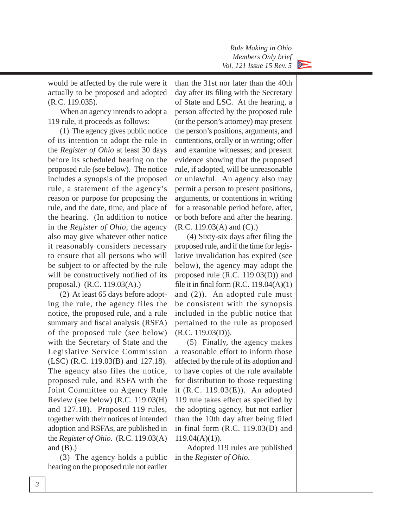would be affected by the rule were it actually to be proposed and adopted (R.C. 119.035).

When an agency intends to adopt a 119 rule, it proceeds as follows:

(1) The agency gives public notice of its intention to adopt the rule in the *Register of Ohio* at least 30 days before its scheduled hearing on the proposed rule (see below). The notice includes a synopsis of the proposed rule, a statement of the agency's reason or purpose for proposing the rule, and the date, time, and place of the hearing. (In addition to notice in the *Register of Ohio*, the agency also may give whatever other notice it reasonably considers necessary to ensure that all persons who will be subject to or affected by the rule will be constructively notified of its proposal.) (R.C. 119.03(A).)

(2) At least 65 days before adopting the rule, the agency files the notice, the proposed rule, and a rule summary and fiscal analysis (RSFA) of the proposed rule (see below) with the Secretary of State and the Legislative Service Commission (LSC) (R.C. 119.03(B) and 127.18). The agency also files the notice, proposed rule, and RSFA with the Joint Committee on Agency Rule Review (see below) (R.C. 119.03(H) and 127.18). Proposed 119 rules, together with their notices of intended adoption and RSFAs, are published in the *Register of Ohio*.(R.C. 119.03(A) and  $(B)$ .)

(3) The agency holds a public hearing on the proposed rule not earlier than the 31st nor later than the 40th day after its filing with the Secretary of State and LSC. At the hearing, a person affected by the proposed rule (or the person's attorney) may present the person's positions, arguments, and contentions, orally or in writing; offer and examine witnesses; and present evidence showing that the proposed rule, if adopted, will be unreasonable or unlawful. An agency also may permit a person to present positions, arguments, or contentions in writing for a reasonable period before, after, or both before and after the hearing. (R.C. 119.03(A) and (C).)

 $(4)$  Sixty-six days after filing the proposed rule, and if the time for legislative invalidation has expired (see below), the agency may adopt the proposed rule (R.C. 119.03(D)) and file it in final form (R.C.  $119.04(A)(1)$ ) and (2)). An adopted rule must be consistent with the synopsis included in the public notice that pertained to the rule as proposed (R.C. 119.03(D)).

(5) Finally, the agency makes a reasonable effort to inform those affected by the rule of its adoption and to have copies of the rule available for distribution to those requesting it (R.C. 119.03(E)). An adopted 119 rule takes effect as specified by the adopting agency, but not earlier than the 10th day after being filed in final form (R.C. 119.03(D) and  $119.04(A)(1)$ .

Adopted 119 rules are published in the *Register of Ohio*.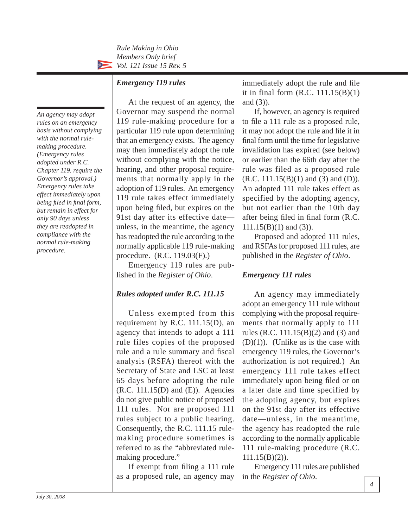#### *Emergency 119 rules*

*An agency may adopt rules on an emergency basis without complying with the normal rulemaking procedure. (Emergency rules adopted under R.C. Chapter 119. require the Governor's approval.) Emergency rules take effect immediately upon being fi led in fi nal form, but remain in effect for only 90 days unless they are readopted in compliance with the normal rule-making procedure.*

At the request of an agency, the Governor may suspend the normal 119 rule-making procedure for a particular 119 rule upon determining that an emergency exists. The agency may then immediately adopt the rule without complying with the notice, hearing, and other proposal requirements that normally apply in the adoption of 119 rules. An emergency 119 rule takes effect immediately upon being filed, but expires on the 91st day after its effective date unless, in the meantime, the agency has readopted the rule according to the normally applicable 119 rule-making procedure. (R.C. 119.03(F).)

Emergency 119 rules are published in the *Register of Ohio*.

#### *Rules adopted under R.C. 111.15*

Unless exempted from this requirement by R.C. 111.15(D), an agency that intends to adopt a 111 rule files copies of the proposed rule and a rule summary and fiscal analysis (RSFA) thereof with the Secretary of State and LSC at least 65 days before adopting the rule (R.C. 111.15(D) and (E)). Agencies do not give public notice of proposed 111 rules. Nor are proposed 111 rules subject to a public hearing. Consequently, the R.C. 111.15 rulemaking procedure sometimes is referred to as the "abbreviated rulemaking procedure."

If exempt from filing a 111 rule as a proposed rule, an agency may immediately adopt the rule and file it in final form  $(R.C. 111.15(B)(1))$ and (3)).

If, however, an agency is required to file a 111 rule as a proposed rule, it may not adopt the rule and file it in final form until the time for legislative invalidation has expired (see below) or earlier than the 66th day after the rule was filed as a proposed rule  $(R.C. 111.15(B)(1)$  and  $(3)$  and  $(D)$ ). An adopted 111 rule takes effect as specified by the adopting agency, but not earlier than the 10th day after being filed in final form (R.C. 111.15(B)(1) and (3)).

Proposed and adopted 111 rules, and RSFAs for proposed 111 rules, are published in the *Register of Ohio*.

#### *Emergency 111 rules*

An agency may immediately adopt an emergency 111 rule without complying with the proposal requirements that normally apply to 111 rules (R.C. 111.15(B)(2) and (3) and (D)(1)). (Unlike as is the case with emergency 119 rules, the Governor's authorization is not required.) An emergency 111 rule takes effect immediately upon being filed or on a later date and time specified by the adopting agency, but expires on the 91st day after its effective date—unless, in the meantime. the agency has readopted the rule according to the normally applicable 111 rule-making procedure (R.C. 111.15(B)(2)).

Emergency 111 rules are published in the *Register of Ohio*.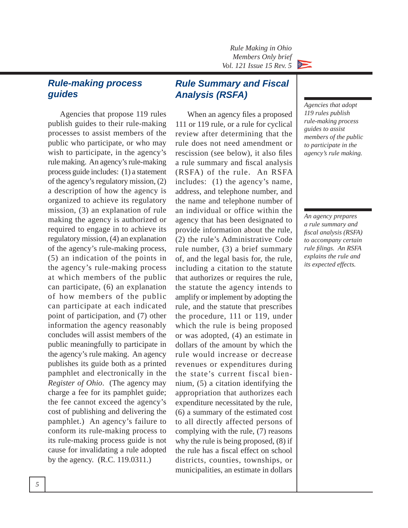# *Rule-making process guides*

Agencies that propose 119 rules publish guides to their rule-making processes to assist members of the public who participate, or who may wish to participate, in the agency's rule making. An agency's rule-making process guide includes: (1) a statement of the agency's regulatory mission, (2) a description of how the agency is organized to achieve its regulatory mission, (3) an explanation of rule making the agency is authorized or required to engage in to achieve its regulatory mission, (4) an explanation of the agency's rule-making process, (5) an indication of the points in the agency's rule-making process at which members of the public can participate, (6) an explanation of how members of the public can participate at each indicated point of participation, and (7) other information the agency reasonably concludes will assist mem bers of the public meaningfully to participate in the agency's rule making. An agency publishes its guide both as a printed pamphlet and electronically in the *Register of Ohio*. (The agency may charge a fee for its pamphlet guide; the fee cannot exceed the agency's cost of publishing and delivering the pamphlet.) An agency's failure to conform its rule-making process to its rule-making process guide is not cause for invalidating a rule adopted by the agency. (R.C. 119.0311.)

# *Rule Summary and Fiscal Analysis (RSFA)*

When an agency files a proposed 111 or 119 rule, or a rule for cyclical review after determining that the rule does not need amendment or rescission (see below), it also files a rule summary and fiscal analysis (RSFA) of the rule. An RSFA includes: (1) the agency's name, address, and telephone number, and the name and telephone number of an individual or office within the agency that has been designated to provide information about the rule, (2) the rule's Administrative Code rule number, (3) a brief summary of, and the legal basis for, the rule, including a citation to the statute that authorizes or requires the rule, the statute the agency intends to amplify or implement by adopting the rule, and the statute that prescribes the procedure, 111 or 119, under which the rule is being proposed or was adopted, (4) an estimate in dollars of the amount by which the rule would increase or decrease revenues or expenditures during the state's current fiscal biennium, (5) a citation identifying the appropriation that authorizes each expenditure necessitated by the rule, (6) a summary of the estimated cost to all directly affected persons of complying with the rule, (7) reasons why the rule is being proposed, (8) if the rule has a fiscal effect on school districts, counties, townships, or municipalities, an estimate in dollars

*Agencies that adopt 119 rules publish rule-making process guides to assist members of the public to participate in the agency's rule making.*

*An agency prepares a rule summary and fi scal analysis (RSFA) to accompany certain rule fi lings. An RSFA explains the rule and its expected effects.*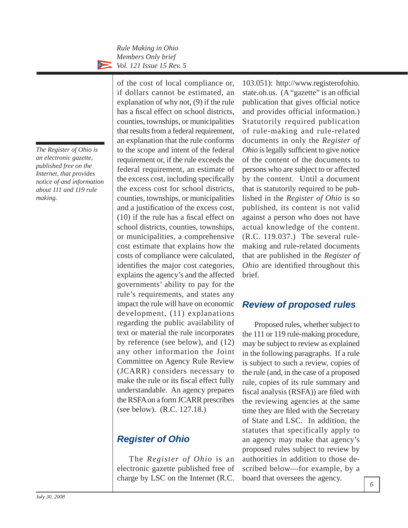*The Register of Ohio is an electronic gazette, published free on the Internet, that provides notice of and information about 111 and 119 rule making.*

of the cost of local compliance or, if dollars cannot be estimated, an explanation of why not, (9) if the rule has a fiscal effect on school districts, counties, townships, or municipalities that results from a federal requirement, an explanation that the rule conforms to the scope and intent of the federal requirement or, if the rule exceeds the federal requirement, an estimate of the excess cost, including specifically the excess cost for school districts, counties, townships, or municipalities and a justification of the excess cost,  $(10)$  if the rule has a fiscal effect on school districts, counties, townships, or municipalities, a comprehensive cost estimate that explains how the costs of compliance were calculated, identifies the major cost categories, explains the agency's and the affected governments' ability to pay for the rule's requirements, and states any impact the rule will have on economic development, (11) explanations regarding the public availability of text or material the rule incorporates by reference (see below), and (12) any other information the Joint Committee on Agency Rule Review (JCARR) considers necessary to make the rule or its fiscal effect fully understandable. An agency prepares the RSFA on a form JCARR prescribes (see below). (R.C. 127.18.)

# *Register of Ohio*

The *Register of Ohio* is an electronic gazette published free of charge by LSC on the Internet (R.C.

103.051): http://www.registerofohio. state.oh.us. (A "gazette" is an official publication that gives official notice and provides official information.) Statutorily required publication of rule-making and rule-related documents in only the *Register of Ohio* is legally sufficient to give notice of the content of the documents to persons who are subject to or affected by the content. Until a document that is statutorily required to be published in the *Register of Ohio* is so published, its content is not valid against a person who does not have actual knowledge of the content. (R.C. 119.037.) The several rulemaking and rule-related documents that are published in the *Register of Ohio* are identified throughout this brief.

# *Review of proposed rules*

Proposed rules, whether subject to the 111 or 119 rule-making procedure, may be subject to review as explained in the following paragraphs. If a rule is subject to such a review, copies of the rule (and, in the case of a proposed rule, copies of its rule summary and fiscal analysis (RSFA)) are filed with the reviewing agencies at the same time they are filed with the Secretary of State and LSC. In addition, the statutes that specifically apply to an agency may make that agency's proposed rules subject to review by authorities in addition to those described below—for example, by a board that oversees the agency.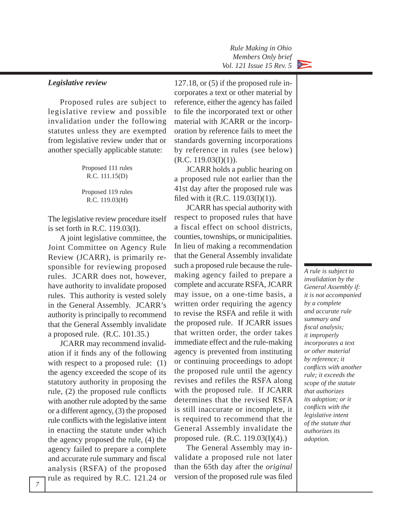*Rule Making in Ohio Members Only brief Vol. 121 Issue 15 Rev. 5*  $\frac{1}{2} \sum_{i=1}^{n} \frac{1}{i} \sum_{j=1}^{n} \frac{1}{j} \sum_{j=1}^{n} \frac{1}{j} \sum_{j=1}^{n} \frac{1}{j} \sum_{j=1}^{n} \frac{1}{j} \sum_{j=1}^{n} \frac{1}{j} \sum_{j=1}^{n} \frac{1}{j} \sum_{j=1}^{n} \frac{1}{j} \sum_{j=1}^{n} \frac{1}{j} \sum_{j=1}^{n} \frac{1}{j} \sum_{j=1}^{n} \frac{1}{j} \sum_{j=1}^{n} \frac{1}{j} \sum_{j=1}^{n$ 

#### *Legislative review*

Proposed rules are subject to legislative review and possible invalidation under the following statutes unless they are exempted from legislative review under that or another specially applicable statute:

| Proposed 111 rules<br>R.C. 111.15(D) |
|--------------------------------------|
| Proposed 119 rules<br>R.C. 119.03(H) |

The legislative review procedure itself is set forth in R.C. 119.03(I).

A joint legislative committee, the Joint Committee on Agency Rule Review (JCARR), is primarily responsible for reviewing proposed rules. JCARR does not, however, have authority to invalidate proposed rules. This authority is vested solely in the General Assembly. JCARR's authority is principally to recommend that the General Assembly invalidate a proposed rule.  $(R.C. 101.35.)$ 

JCARR may recommend invalidation if it finds any of the following with respect to a proposed rule: (1) the agency exceeded the scope of its statutory authority in proposing the rule,  $(2)$  the proposed rule conflicts with another rule adopted by the same or a different agency, (3) the proposed rule conflicts with the legislative intent in enacting the statute under which the agency proposed the rule, (4) the agency failed to prepare a complete and accurate rule summary and fiscal analysis (RSFA) of the proposed rule as required by R.C. 121.24 or

127.18, or (5) if the proposed rule incorporates a text or other material by reference, either the agency has failed to file the incorporated text or other material with JCARR or the incorporation by reference fails to meet the standards governing incorporations by reference in rules (see below)  $(R.C. 119.03(I)(1)).$ 

JCARR holds a public hearing on a proposed rule not earlier than the 41st day after the proposed rule was filed with it (R.C.  $119.03(I)(1)$ ).

JCARR has special authority with respect to proposed rules that have a fiscal effect on school districts, counties, townships, or municipalities. In lieu of making a recommendation that the General Assembly invalidate such a proposed rule because the rulemaking agency failed to prepare a complete and accurate RSFA, JCARR may issue, on a one-time basis, a written order requiring the agency to revise the RSFA and refile it with the proposed rule. If JCARR issues that written order, the order takes immediate effect and the rule-making agency is prevented from instituting or continuing proceedings to adopt the proposed rule until the agency revises and refiles the RSFA along with the proposed rule. If JCARR determines that the revised RSFA is still inaccurate or incomplete, it is required to recommend that the General Assembly invalidate the proposed rule.  $(R.C. 119.03(I)(4))$ 

The General Assembly may invalidate a proposed rule not later than the 65th day after the *original*  version of the proposed rule was filed

*A rule is subject to invalidation by the General Assembly if: it is not accompanied by a complete and accurate rule summary and fi scal analysis; it improperly incorporates a text or other material by reference; it confl icts with another rule; it exceeds the scope of the statute that authorizes its adoption; or it confl icts with the legislative intent of the statute that authorizes its adoption.*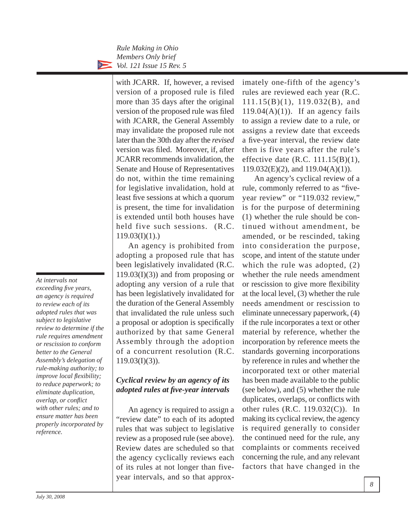> with JCARR. If, however, a revised version of a proposed rule is filed more than 35 days after the original version of the proposed rule was filed with JCARR, the General Assembly may invalidate the proposed rule not later than the 30th day after the *revised*  version was filed. Moreover, if, after JCARR recommends invalidation, the Senate and House of Representatives do not, within the time remaining for legislative invalidation, hold at least five sessions at which a quorum is present, the time for invalidation is extended until both houses have held five such sessions. (R.C.  $119.03(I)(1)$ .)

> An agency is prohibited from adopting a proposed rule that has been legislatively invalidated (R.C.  $119.03(I)(3)$  and from proposing or adopting any version of a rule that has been legislatively invalidated for the duration of the General Assembly that invalidated the rule unless such a proposal or adoption is specifically authorized by that same General Assembly through the adoption of a concurrent resolution (R.C.  $119.03(I)(3)$ ).

## *Cyclical review by an agency of its adopted rules at fi ve-year intervals*

An agency is required to assign a "review date" to each of its adopted rules that was subject to legislative review as a proposed rule (see above). Review dates are scheduled so that the agency cyclically reviews each of its rules at not longer than fiveyear intervals, and so that approximately one-fifth of the agency's rules are reviewed each year (R.C. 111.15(B)(1), 119.032(B), and  $119.04(A)(1)$ ). If an agency fails to assign a review date to a rule, or assigns a review date that exceeds a five-year interval, the review date then is five years after the rule's effective date  $(R.C. 111.15(B)(1),$ 119.032(E)(2), and 119.04(A)(1)).

An agency's cyclical review of a rule, commonly referred to as "fiveyear review" or "119.032 review," is for the purpose of determining (1) whether the rule should be continued without amendment, be amended, or be rescinded, taking into consideration the purpose, scope, and intent of the statute under which the rule was adopted, (2) whether the rule needs amendment or rescission to give more flexibility at the local level, (3) whether the rule needs amendment or rescission to eliminate unnecessary paperwork, (4) if the rule incorporates a text or other material by reference, whether the incorporation by reference meets the standards governing incorporations by reference in rules and whether the incorporated text or other material has been made available to the public (see below), and (5) whether the rule duplicates, overlaps, or conflicts with other rules (R.C. 119.032(C)). In making its cyclical review, the agency is required generally to consider the continued need for the rule, any complaints or comments received concerning the rule, and any relevant factors that have changed in the

*At intervals not exceeding fi ve years, an agency is required to review each of its adopted rules that was subject to legislative review to determine if the rule requires amendment or rescission to conform better to the General Assembly's delegation of rule-making authority; to improve local flexibility; to reduce paperwork; to eliminate duplication,*   $overlap, or conflict$ *with other rules; and to ensure matter has been properly incorporated by reference.*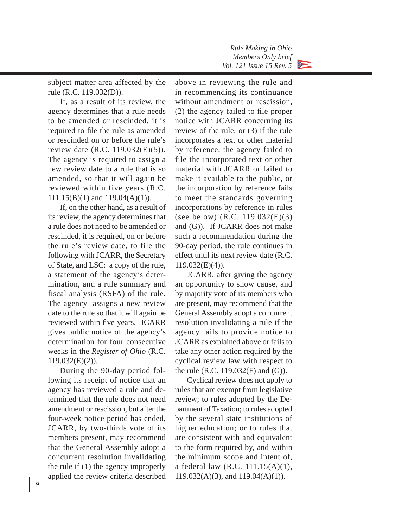

subject matter area affected by the rule (R.C. 119.032(D)).

If, as a result of its review, the agency determines that a rule needs to be amended or rescinded, it is required to file the rule as amended or rescinded on or before the rule's review date (R.C. 119.032(E)(5)). The agency is required to assign a new review date to a rule that is so amended, so that it will again be reviewed within five years (R.C. 111.15(B)(1) and 119.04(A)(1)).

If, on the other hand, as a result of its review, the agency determines that a rule does not need to be amended or rescinded, it is required, on or before the rule's review date, to file the following with JCARR, the Secretary of State, and LSC: a copy of the rule, a statement of the agency's determination, and a rule summary and fiscal analysis (RSFA) of the rule. The agency assigns a new review date to the rule so that it will again be reviewed within five years. JCARR gives public notice of the agency's determination for four consecutive weeks in the *Register of Ohio* (R.C. 119.032(E)(2)).

During the 90-day period following its receipt of notice that an agency has reviewed a rule and determined that the rule does not need amend ment or rescission, but after the four-week notice period has ended, JCARR, by two-thirds vote of its members present, may recommend that the General Assembly adopt a concurrent resolution invalidating the rule if (1) the agency improperly applied the review criteria described

above in reviewing the rule and in recommending its continuance without amendment or rescission,  $(2)$  the agency failed to file proper notice with JCARR concerning its review of the rule, or (3) if the rule incorporates a text or other material by reference, the agency failed to file the incorporated text or other material with JCARR or failed to make it available to the public, or the incorporation by reference fails to meet the standards governing incorporations by reference in rules (see below) (R.C. 119.032(E)(3) and (G)). If JCARR does not make such a recommendation during the 90-day period, the rule continues in effect until its next review date (R.C.  $119.032(E)(4)$ ).

JCARR, after giving the agency an opportunity to show cause, and by majority vote of its members who are present, may recommend that the General Assembly adopt a concurrent resolution invalidating a rule if the agency fails to provide notice to JCARR as explained above or fails to take any other action required by the cyclical review law with respect to the rule (R.C. 119.032(F) and (G)).

Cyclical review does not apply to rules that are exempt from legislative review; to rules adopted by the Department of Taxation; to rules adopted by the several state institutions of higher education; or to rules that are consistent with and equivalent to the form required by, and within the minimum scope and intent of, a federal law (R.C.  $111.15(A)(1)$ , 119.032(A)(3), and 119.04(A)(1)).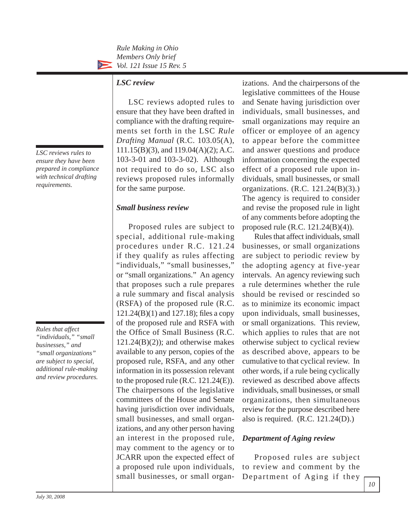*Rule Making in Ohio Members Only brief*  $\sum_{i=1}^{n}$ *Vol. 121 Issue 15 Rev. 5*

#### *LSC review*

LSC reviews adopted rules to ensure that they have been drafted in compliance with the drafting requirements set forth in the LSC *Rule Drafting Manual* (R.C. 103.05(A), 111.15(B)(3), and 119.04(A)(2); A.C. 103-3-01 and 103-3-02). Although not required to do so, LSC also reviews proposed rules informally for the same purpose.

#### *Small business review*

Proposed rules are subject to special, additional rule-making procedures under R.C. 121.24 if they qualify as rules affecting "individuals," "small businesses," or "small organizations." An agency that proposes such a rule prepares a rule summary and fiscal analysis (RSFA) of the proposed rule (R.C.  $121.24(B)(1)$  and  $127.18$ ); files a copy of the proposed rule and RSFA with the Office of Small Business (R.C.  $121.24(B)(2)$ ; and otherwise makes available to any person, copies of the proposed rule, RSFA, and any other information in its possession relevant to the proposed rule  $(R.C. 121.24(E)).$ The chairpersons of the legislative committees of the House and Senate having jurisdiction over individuals, small businesses, and small organizations, and any other person having an interest in the proposed rule, may comment to the agency or to JCARR upon the expected effect of a proposed rule upon individuals, small businesses, or small organizations. And the chairpersons of the legislative committees of the House and Senate having jurisdiction over individuals, small businesses, and small organizations may require an officer or employee of an agency to appear before the committee and answer questions and produce information concerning the expected effect of a proposed rule upon individuals, small businesses, or small organizations. (R.C. 121.24(B)(3).) The agency is required to consider and revise the proposed rule in light of any comments before adopting the proposed rule (R.C. 121.24(B)(4)).

Rules that affect individuals, small businesses, or small organizations are subject to periodic review by the adopting agency at five-year intervals. An agency reviewing such a rule determines whether the rule should be revised or rescinded so as to minimize its economic impact upon individuals, small businesses, or small organizations. This review, which applies to rules that are not otherwise subject to cyclical review as described above, appears to be cumulative to that cyclical review. In other words, if a rule being cyclically reviewed as described above affects individuals, small businesses, or small organizations, then simultaneous review for the purpose described here also is required. (R.C. 121.24(D).)

#### *Department of Aging review*

Proposed rules are subject to review and comment by the Department of Aging if they

*LSC reviews rules to ensure they have been prepared in compliance with technical drafting requirements.*

*Rules that affect "individuals," "small businesses," and "small organizations" are subject to special, additional rule-making and review procedures.*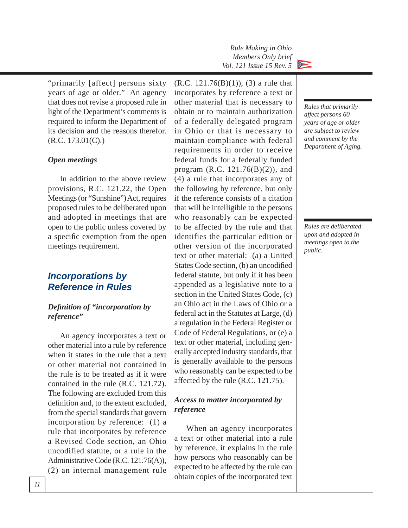"primarily [affect] persons sixty years of age or older." An agency that does not revise a proposed rule in light of the Department's comments is required to inform the Department of its decision and the reasons therefor. (R.C. 173.01(C).)

#### *Open meetings*

In addition to the above review provisions, R.C. 121.22, the Open Meetings (or "Sunshine") Act, requires proposed rules to be deliberated upon and adopted in meetings that are open to the public unless covered by a specific exemption from the open meetings requirement.

# *Incorporations by Reference in Rules*

#### *Defi nition of "incorporation by reference"*

An agency incorporates a text or other material into a rule by reference when it states in the rule that a text or other material not contained in the rule is to be treated as if it were contained in the rule (R.C. 121.72). The following are excluded from this definition and, to the extent excluded, from the special standards that govern incorporation by reference: (1) a rule that incorporates by reference a Revised Code section, an Ohio uncodified statute, or a rule in the Administrative Code (R.C. 121.76(A)), (2) an internal management rule  $(R.C. 121.76(B)(1)),$  (3) a rule that incorporates by reference a text or other material that is necessary to obtain or to maintain authorization of a federally delegated program in Ohio or that is necessary to maintain compliance with federal requirements in order to receive federal funds for a federally funded program (R.C. 121.76(B)(2)), and (4) a rule that incorporates any of the following by reference, but only if the reference consists of a citation that will be intelligible to the persons who reasonably can be expected to be affected by the rule and that identifies the particular edition or other version of the incorporated text or other material: (a) a United States Code section, (b) an uncodified federal statute, but only if it has been appended as a legislative note to a section in the United States Code, (c) an Ohio act in the Laws of Ohio or a federal act in the Statutes at Large, (d) a regulation in the Federal Register or Code of Federal Regulations, or (e) a text or other material, including generally accepted industry standards, that is generally available to the persons who reasonably can be expected to be affected by the rule (R.C. 121.75).

#### *Access to matter incorporated by reference*

When an agency incorporates a text or other material into a rule by reference, it explains in the rule how persons who reasonably can be expected to be affected by the rule can obtain copies of the incorporated text



*Rules that primarily affect persons 60 years of age or older are subject to review and comment by the Department of Aging.*

*Rules are deliberated upon and adopted in meetings open to the public.*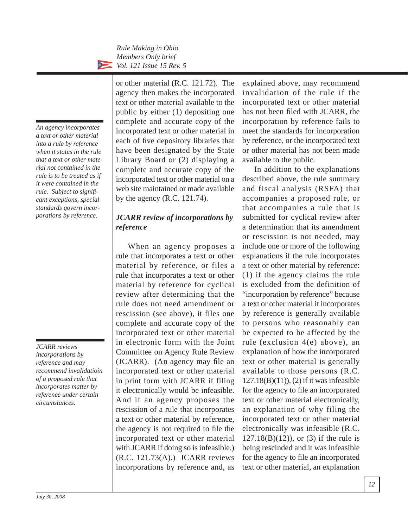*An agency incorporates a text or other material into a rule by reference when it states in the rule that a text or other material not contained in the rule is to be treated as if it were contained in the rule. Subject to signifi cant exceptions, special standards govern incorporations by reference.*

or other material (R.C. 121.72). The agency then makes the incorporated text or other material available to the public by either (1) depositing one complete and accurate copy of the incorporated text or other material in each of five depository libraries that have been designated by the State Library Board or (2) displaying a complete and accurate copy of the incorporated text or other material on a web site maintained or made available by the agency (R.C. 121.74).

# *JCARR review of incorporations by reference*

When an agency proposes a rule that incorporates a text or other material by reference, or files a rule that incorporates a text or other material by reference for cyclical review after determining that the rule does not need amendment or rescission (see above), it files one complete and accurate copy of the incorporated text or other material in electronic form with the Joint Committee on Agency Rule Review  $(JCARR)$ . (An agency may file an incorporated text or other material in print form with JCARR if filing it electronically would be infeasible. And if an agency proposes the rescission of a rule that incorporates a text or other material by reference, the agency is not required to file the incorporated text or other material with JCARR if doing so is infeasible.) (R.C. 121.73(A).) JCARR reviews incorporations by reference and, as

explained above, may recommend invalidation of the rule if the incorporated text or other material has not been filed with JCARR, the incorporation by reference fails to meet the standards for incorporation by reference, or the incorporated text or other material has not been made available to the public.

In addition to the explanations described above, the rule summary and fiscal analysis (RSFA) that ac companies a proposed rule, or that accompanies a rule that is submitted for cyclical review after a determination that its amendment or rescission is not needed, may include one or more of the following explanations if the rule incorporates a text or other material by reference: (1) if the agency claims the rule is excluded from the definition of "incorporation by reference" because a text or other material it incorporates by reference is generally available to persons who reasonably can be expected to be affected by the rule (exclusion 4(e) above), an explanation of how the incorporated text or other material is generally available to those persons (R.C. 127.18(B)(11)), (2) if it was infeasible for the agency to file an incorporated text or other material electronically, an explanation of why filing the incorporated text or other material electronically was infeasible (R.C. 127.18(B)(12)), or (3) if the rule is being rescinded and it was infeasible for the agency to file an incorporated text or other material, an explanation

*JCARR reviews incorporations by reference and may recommend invalidatioin of a proposed rule that incorporates matter by reference under certain circumstances.*